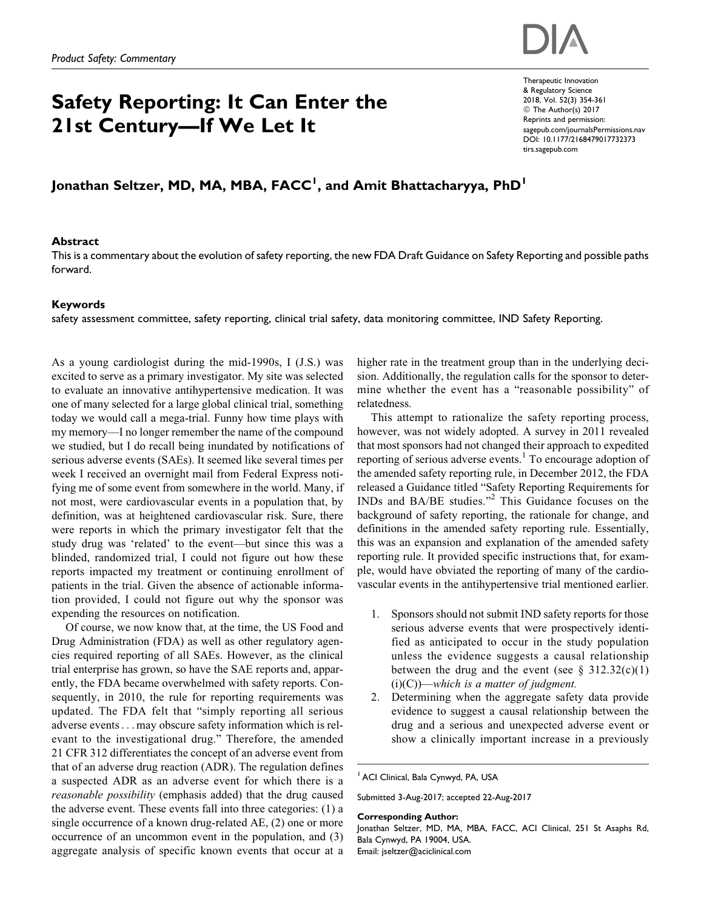# Safety Reporting: It Can Enter the 21st Century—If We Let It

## Jonathan Seltzer, MD, MA, MBA, FACC<sup>I</sup>, and Amit Bhattacharyya, PhD<sup>I</sup>

#### Abstract

This is a commentary about the evolution of safety reporting, the new FDA Draft Guidance on Safety Reporting and possible paths forward.

#### Keywords

safety assessment committee, safety reporting, clinical trial safety, data monitoring committee, IND Safety Reporting.

As a young cardiologist during the mid-1990s, I (J.S.) was excited to serve as a primary investigator. My site was selected to evaluate an innovative antihypertensive medication. It was one of many selected for a large global clinical trial, something today we would call a mega-trial. Funny how time plays with my memory—I no longer remember the name of the compound we studied, but I do recall being inundated by notifications of serious adverse events (SAEs). It seemed like several times per week I received an overnight mail from Federal Express notifying me of some event from somewhere in the world. Many, if not most, were cardiovascular events in a population that, by definition, was at heightened cardiovascular risk. Sure, there were reports in which the primary investigator felt that the study drug was 'related' to the event—but since this was a blinded, randomized trial, I could not figure out how these reports impacted my treatment or continuing enrollment of patients in the trial. Given the absence of actionable information provided, I could not figure out why the sponsor was expending the resources on notification.

Of course, we now know that, at the time, the US Food and Drug Administration (FDA) as well as other regulatory agencies required reporting of all SAEs. However, as the clinical trial enterprise has grown, so have the SAE reports and, apparently, the FDA became overwhelmed with safety reports. Consequently, in 2010, the rule for reporting requirements was updated. The FDA felt that "simply reporting all serious adverse events... may obscure safety information which is relevant to the investigational drug." Therefore, the amended 21 CFR 312 differentiates the concept of an adverse event from that of an adverse drug reaction (ADR). The regulation defines a suspected ADR as an adverse event for which there is a reasonable possibility (emphasis added) that the drug caused the adverse event. These events fall into three categories: (1) a single occurrence of a known drug-related AE, (2) one or more occurrence of an uncommon event in the population, and (3) aggregate analysis of specific known events that occur at a

higher rate in the treatment group than in the underlying deci-sion. Additionally, the regulation calls for the sponsor to determine whether the event has a "reasonable possibility" of relatedness.

This attempt to rationalize the safety reporting process, however, was not widely adopted. A survey in 2011 revealed that most sponsors had not changed their approach to expedited reporting of serious adverse events.<sup>1</sup> To encourage adoption of the amended safety reporting rule, in December 2012, the FDA released a Guidance titled "Safety Reporting Requirements for INDs and BA/BE studies."<sup>2</sup> This Guidance focuses on the background of safety reporting, the rationale for change, and definitions in the amended safety reporting rule. Essentially, this was an expansion and explanation of the amended safety reporting rule. It provided specific instructions that, for example, would have obviated the reporting of many of the cardiovascular events in the antihypertensive trial mentioned earlier.

- 1. Sponsors should not submit IND safety reports for those serious adverse events that were prospectively identified as anticipated to occur in the study population unless the evidence suggests a causal relationship between the drug and the event (see  $\S$  312.32(c)(1)  $(i)(C)$ —which is a matter of judgment.
- 2. Determining when the aggregate safety data provide evidence to suggest a causal relationship between the drug and a serious and unexpected adverse event or show a clinically important increase in a previously

<sup>1</sup> ACI Clinical, Bala Cynwyd, PA, USA

Submitted 3-Aug-2017; accepted 22-Aug-2017

Corresponding Author:

Jonathan Seltzer, MD, MA, MBA, FACC, ACI Clinical, 251 St Asaphs Rd, Bala Cynwyd, PA 19004, USA. Email: jseltzer@aciclinical.com



Therapeutic Innovation & Regulatory Science 2018, Vol. 52(3) 354-361 © The Author(s) 2017 Reprints and permission: [sagepub.com/journalsPermissions.nav](https://us.sagepub.com/en-us/journals-permissions) [DOI: 10.1177/2168479017732373](https://doi.org/10.1177/2168479017732373) [tirs.sagepub.com](http://tirs.sagepub.com)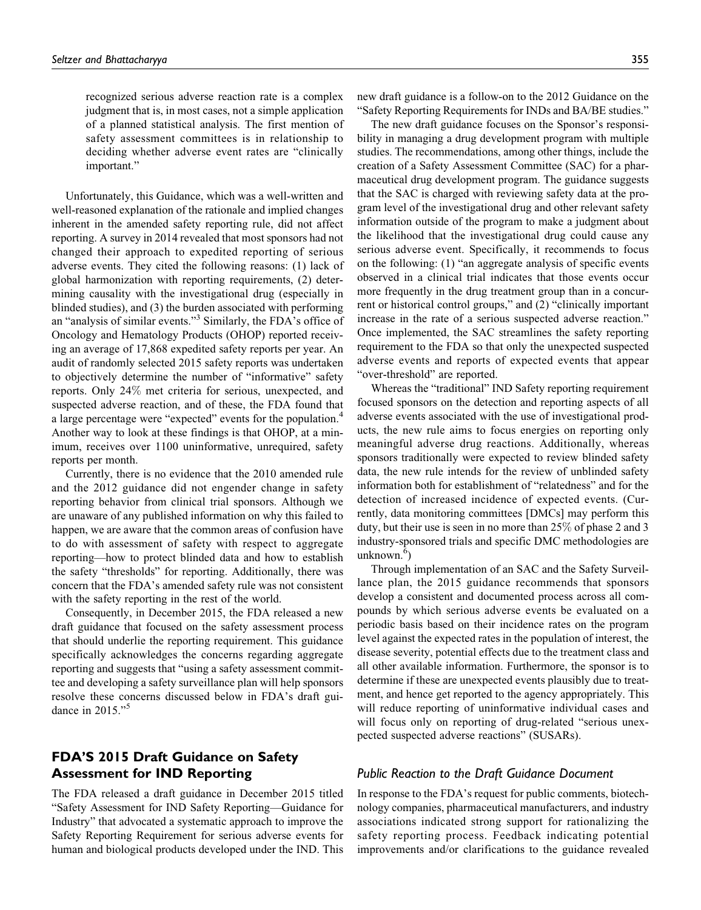recognized serious adverse reaction rate is a complex judgment that is, in most cases, not a simple application of a planned statistical analysis. The first mention of safety assessment committees is in relationship to deciding whether adverse event rates are "clinically important."

Unfortunately, this Guidance, which was a well-written and well-reasoned explanation of the rationale and implied changes inherent in the amended safety reporting rule, did not affect reporting. A survey in 2014 revealed that most sponsors had not changed their approach to expedited reporting of serious adverse events. They cited the following reasons: (1) lack of global harmonization with reporting requirements, (2) determining causality with the investigational drug (especially in blinded studies), and (3) the burden associated with performing an "analysis of similar events."<sup>3</sup> Similarly, the FDA's office of Oncology and Hematology Products (OHOP) reported receiving an average of 17,868 expedited safety reports per year. An audit of randomly selected 2015 safety reports was undertaken to objectively determine the number of "informative" safety reports. Only 24% met criteria for serious, unexpected, and suspected adverse reaction, and of these, the FDA found that a large percentage were "expected" events for the population.<sup>4</sup> Another way to look at these findings is that OHOP, at a minimum, receives over 1100 uninformative, unrequired, safety reports per month.

Currently, there is no evidence that the 2010 amended rule and the 2012 guidance did not engender change in safety reporting behavior from clinical trial sponsors. Although we are unaware of any published information on why this failed to happen, we are aware that the common areas of confusion have to do with assessment of safety with respect to aggregate reporting—how to protect blinded data and how to establish the safety "thresholds" for reporting. Additionally, there was concern that the FDA's amended safety rule was not consistent with the safety reporting in the rest of the world.

Consequently, in December 2015, the FDA released a new draft guidance that focused on the safety assessment process that should underlie the reporting requirement. This guidance specifically acknowledges the concerns regarding aggregate reporting and suggests that "using a safety assessment committee and developing a safety surveillance plan will help sponsors resolve these concerns discussed below in FDA's draft guidance in  $2015.^{5}$ 

## FDA'S 2015 Draft Guidance on Safety Assessment for IND Reporting

The FDA released a draft guidance in December 2015 titled "Safety Assessment for IND Safety Reporting—Guidance for Industry" that advocated a systematic approach to improve the Safety Reporting Requirement for serious adverse events for human and biological products developed under the IND. This

new draft guidance is a follow-on to the 2012 Guidance on the "Safety Reporting Requirements for INDs and BA/BE studies."

The new draft guidance focuses on the Sponsor's responsibility in managing a drug development program with multiple studies. The recommendations, among other things, include the creation of a Safety Assessment Committee (SAC) for a pharmaceutical drug development program. The guidance suggests that the SAC is charged with reviewing safety data at the program level of the investigational drug and other relevant safety information outside of the program to make a judgment about the likelihood that the investigational drug could cause any serious adverse event. Specifically, it recommends to focus on the following: (1) "an aggregate analysis of specific events observed in a clinical trial indicates that those events occur more frequently in the drug treatment group than in a concurrent or historical control groups," and (2) "clinically important increase in the rate of a serious suspected adverse reaction." Once implemented, the SAC streamlines the safety reporting requirement to the FDA so that only the unexpected suspected adverse events and reports of expected events that appear "over-threshold" are reported.

Whereas the "traditional" IND Safety reporting requirement focused sponsors on the detection and reporting aspects of all adverse events associated with the use of investigational products, the new rule aims to focus energies on reporting only meaningful adverse drug reactions. Additionally, whereas sponsors traditionally were expected to review blinded safety data, the new rule intends for the review of unblinded safety information both for establishment of "relatedness" and for the detection of increased incidence of expected events. (Currently, data monitoring committees [DMCs] may perform this duty, but their use is seen in no more than 25% of phase 2 and 3 industry-sponsored trials and specific DMC methodologies are unknown.<sup> $\bar{6}$ </sup>)

Through implementation of an SAC and the Safety Surveillance plan, the 2015 guidance recommends that sponsors develop a consistent and documented process across all compounds by which serious adverse events be evaluated on a periodic basis based on their incidence rates on the program level against the expected rates in the population of interest, the disease severity, potential effects due to the treatment class and all other available information. Furthermore, the sponsor is to determine if these are unexpected events plausibly due to treatment, and hence get reported to the agency appropriately. This will reduce reporting of uninformative individual cases and will focus only on reporting of drug-related "serious unexpected suspected adverse reactions" (SUSARs).

#### Public Reaction to the Draft Guidance Document

In response to the FDA's request for public comments, biotechnology companies, pharmaceutical manufacturers, and industry associations indicated strong support for rationalizing the safety reporting process. Feedback indicating potential improvements and/or clarifications to the guidance revealed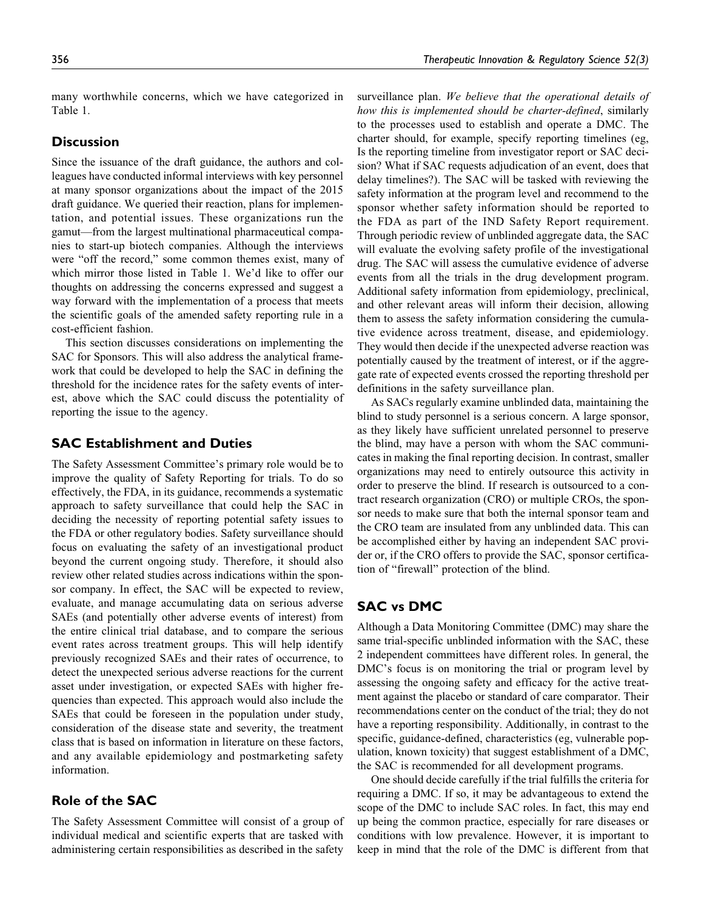many worthwhile concerns, which we have categorized in Table 1.

#### **Discussion**

Since the issuance of the draft guidance, the authors and colleagues have conducted informal interviews with key personnel at many sponsor organizations about the impact of the 2015 draft guidance. We queried their reaction, plans for implementation, and potential issues. These organizations run the gamut—from the largest multinational pharmaceutical companies to start-up biotech companies. Although the interviews were "off the record," some common themes exist, many of which mirror those listed in Table 1. We'd like to offer our thoughts on addressing the concerns expressed and suggest a way forward with the implementation of a process that meets the scientific goals of the amended safety reporting rule in a cost-efficient fashion.

This section discusses considerations on implementing the SAC for Sponsors. This will also address the analytical framework that could be developed to help the SAC in defining the threshold for the incidence rates for the safety events of interest, above which the SAC could discuss the potentiality of reporting the issue to the agency.

## SAC Establishment and Duties

The Safety Assessment Committee's primary role would be to improve the quality of Safety Reporting for trials. To do so effectively, the FDA, in its guidance, recommends a systematic approach to safety surveillance that could help the SAC in deciding the necessity of reporting potential safety issues to the FDA or other regulatory bodies. Safety surveillance should focus on evaluating the safety of an investigational product beyond the current ongoing study. Therefore, it should also review other related studies across indications within the sponsor company. In effect, the SAC will be expected to review, evaluate, and manage accumulating data on serious adverse SAEs (and potentially other adverse events of interest) from the entire clinical trial database, and to compare the serious event rates across treatment groups. This will help identify previously recognized SAEs and their rates of occurrence, to detect the unexpected serious adverse reactions for the current asset under investigation, or expected SAEs with higher frequencies than expected. This approach would also include the SAEs that could be foreseen in the population under study, consideration of the disease state and severity, the treatment class that is based on information in literature on these factors, and any available epidemiology and postmarketing safety information.

## Role of the SAC

The Safety Assessment Committee will consist of a group of individual medical and scientific experts that are tasked with administering certain responsibilities as described in the safety

surveillance plan. We believe that the operational details of how this is implemented should be charter-defined, similarly to the processes used to establish and operate a DMC. The charter should, for example, specify reporting timelines (eg, Is the reporting timeline from investigator report or SAC decision? What if SAC requests adjudication of an event, does that delay timelines?). The SAC will be tasked with reviewing the safety information at the program level and recommend to the sponsor whether safety information should be reported to the FDA as part of the IND Safety Report requirement. Through periodic review of unblinded aggregate data, the SAC will evaluate the evolving safety profile of the investigational drug. The SAC will assess the cumulative evidence of adverse events from all the trials in the drug development program. Additional safety information from epidemiology, preclinical, and other relevant areas will inform their decision, allowing them to assess the safety information considering the cumulative evidence across treatment, disease, and epidemiology. They would then decide if the unexpected adverse reaction was potentially caused by the treatment of interest, or if the aggregate rate of expected events crossed the reporting threshold per definitions in the safety surveillance plan.

As SACs regularly examine unblinded data, maintaining the blind to study personnel is a serious concern. A large sponsor, as they likely have sufficient unrelated personnel to preserve the blind, may have a person with whom the SAC communicates in making the final reporting decision. In contrast, smaller organizations may need to entirely outsource this activity in order to preserve the blind. If research is outsourced to a contract research organization (CRO) or multiple CROs, the sponsor needs to make sure that both the internal sponsor team and the CRO team are insulated from any unblinded data. This can be accomplished either by having an independent SAC provider or, if the CRO offers to provide the SAC, sponsor certification of "firewall" protection of the blind.

### SAC vs DMC

Although a Data Monitoring Committee (DMC) may share the same trial-specific unblinded information with the SAC, these 2 independent committees have different roles. In general, the DMC's focus is on monitoring the trial or program level by assessing the ongoing safety and efficacy for the active treatment against the placebo or standard of care comparator. Their recommendations center on the conduct of the trial; they do not have a reporting responsibility. Additionally, in contrast to the specific, guidance-defined, characteristics (eg, vulnerable population, known toxicity) that suggest establishment of a DMC, the SAC is recommended for all development programs.

One should decide carefully if the trial fulfills the criteria for requiring a DMC. If so, it may be advantageous to extend the scope of the DMC to include SAC roles. In fact, this may end up being the common practice, especially for rare diseases or conditions with low prevalence. However, it is important to keep in mind that the role of the DMC is different from that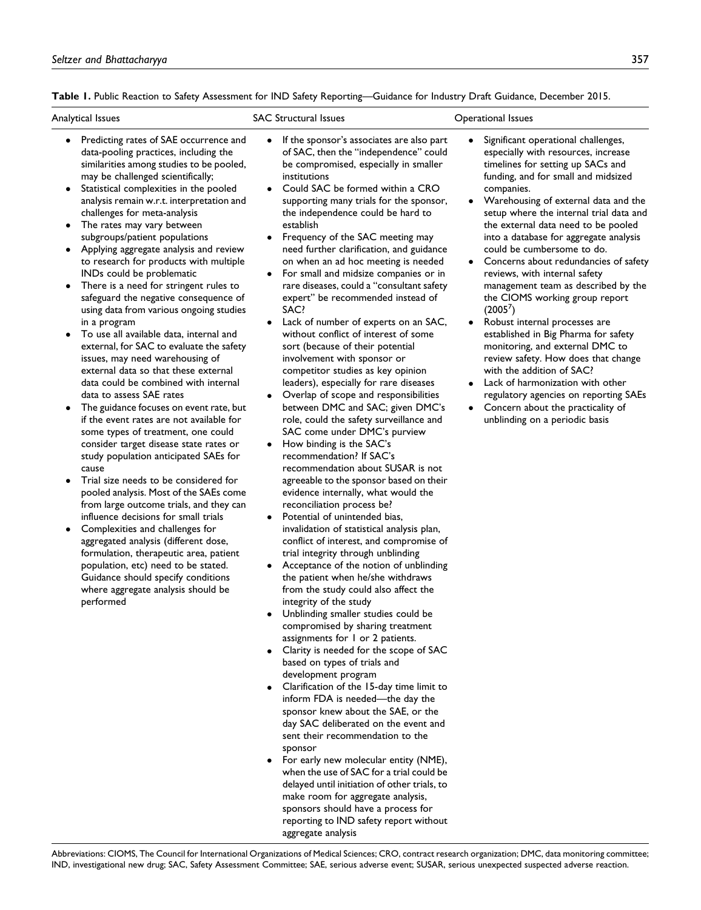| Analytical Issues                                                                                                                                                                                                                                                                                                                                                                                                                                                                                                                                                                                                                                                                                                                                                                                                                                                                                                                                                                                                                                                                                                                                                                                                                                                                                                                                                                                                                                                                                                                           | <b>SAC Structural Issues</b>                                                                                                                                                                                                                                                                                                                                                                                                                                                                                                                                                                                                                                                                                                                                                                                                                                                                                                                                                                                                                                                                                                                                                                                                                                                                                                                                                                                                                                                                                                                                                                                                                                                                                                                                                                                                                                                                                                                                                                         | Operational Issues                                                                                                                                                                                                                                                                                                                                                                                                                                                                                                                                                                                                                                                                                                                                                                                                                                                              |
|---------------------------------------------------------------------------------------------------------------------------------------------------------------------------------------------------------------------------------------------------------------------------------------------------------------------------------------------------------------------------------------------------------------------------------------------------------------------------------------------------------------------------------------------------------------------------------------------------------------------------------------------------------------------------------------------------------------------------------------------------------------------------------------------------------------------------------------------------------------------------------------------------------------------------------------------------------------------------------------------------------------------------------------------------------------------------------------------------------------------------------------------------------------------------------------------------------------------------------------------------------------------------------------------------------------------------------------------------------------------------------------------------------------------------------------------------------------------------------------------------------------------------------------------|------------------------------------------------------------------------------------------------------------------------------------------------------------------------------------------------------------------------------------------------------------------------------------------------------------------------------------------------------------------------------------------------------------------------------------------------------------------------------------------------------------------------------------------------------------------------------------------------------------------------------------------------------------------------------------------------------------------------------------------------------------------------------------------------------------------------------------------------------------------------------------------------------------------------------------------------------------------------------------------------------------------------------------------------------------------------------------------------------------------------------------------------------------------------------------------------------------------------------------------------------------------------------------------------------------------------------------------------------------------------------------------------------------------------------------------------------------------------------------------------------------------------------------------------------------------------------------------------------------------------------------------------------------------------------------------------------------------------------------------------------------------------------------------------------------------------------------------------------------------------------------------------------------------------------------------------------------------------------------------------------|---------------------------------------------------------------------------------------------------------------------------------------------------------------------------------------------------------------------------------------------------------------------------------------------------------------------------------------------------------------------------------------------------------------------------------------------------------------------------------------------------------------------------------------------------------------------------------------------------------------------------------------------------------------------------------------------------------------------------------------------------------------------------------------------------------------------------------------------------------------------------------|
| • Predicting rates of SAE occurrence and<br>data-pooling practices, including the<br>similarities among studies to be pooled,<br>may be challenged scientifically;<br>Statistical complexities in the pooled<br>$\bullet$<br>analysis remain w.r.t. interpretation and<br>challenges for meta-analysis<br>The rates may vary between<br>subgroups/patient populations<br>Applying aggregate analysis and review<br>$\bullet$<br>to research for products with multiple<br>INDs could be problematic<br>There is a need for stringent rules to<br>safeguard the negative consequence of<br>using data from various ongoing studies<br>in a program<br>To use all available data, internal and<br>external, for SAC to evaluate the safety<br>issues, may need warehousing of<br>external data so that these external<br>data could be combined with internal<br>data to assess SAE rates<br>The guidance focuses on event rate, but<br>if the event rates are not available for<br>some types of treatment, one could<br>consider target disease state rates or<br>study population anticipated SAEs for<br>cause<br>Trial size needs to be considered for<br>pooled analysis. Most of the SAEs come<br>from large outcome trials, and they can<br>influence decisions for small trials<br>Complexities and challenges for<br>aggregated analysis (different dose,<br>formulation, therapeutic area, patient<br>population, etc) need to be stated.<br>Guidance should specify conditions<br>where aggregate analysis should be<br>performed | If the sponsor's associates are also part<br>of SAC, then the "independence" could<br>be compromised, especially in smaller<br>institutions<br>Could SAC be formed within a CRO<br>supporting many trials for the sponsor,<br>the independence could be hard to<br>establish<br>Frequency of the SAC meeting may<br>need further clarification, and guidance<br>on when an ad hoc meeting is needed<br>For small and midsize companies or in<br>rare diseases, could a "consultant safety<br>expert" be recommended instead of<br>SAC?<br>Lack of number of experts on an SAC,<br>without conflict of interest of some<br>sort (because of their potential<br>involvement with sponsor or<br>competitor studies as key opinion<br>leaders), especially for rare diseases<br>Overlap of scope and responsibilities<br>between DMC and SAC; given DMC's<br>role, could the safety surveillance and<br>SAC come under DMC's purview<br>How binding is the SAC's<br>recommendation? If SAC's<br>recommendation about SUSAR is not<br>agreeable to the sponsor based on their<br>evidence internally, what would the<br>reconciliation process be?<br>Potential of unintended bias,<br>invalidation of statistical analysis plan,<br>conflict of interest, and compromise of<br>trial integrity through unblinding<br>• Acceptance of the notion of unblinding<br>the patient when he/she withdraws<br>from the study could also affect the<br>integrity of the study<br>Unblinding smaller studies could be<br>$\bullet$<br>compromised by sharing treatment<br>assignments for 1 or 2 patients.<br>• Clarity is needed for the scope of SAC<br>based on types of trials and<br>development program<br>Clarification of the 15-day time limit to<br>inform FDA is needed-the day the<br>sponsor knew about the SAE, or the<br>day SAC deliberated on the event and<br>sent their recommendation to the<br>sponsor<br>• For early new molecular entity (NME),<br>when the use of SAC for a trial could be | Significant operational challenges,<br>especially with resources, increase<br>timelines for setting up SACs and<br>funding, and for small and midsized<br>companies.<br>Warehousing of external data and the<br>setup where the internal trial data and<br>the external data need to be pooled<br>into a database for aggregate analysis<br>could be cumbersome to do.<br>• Concerns about redundancies of safety<br>reviews, with internal safety<br>management team as described by the<br>the CIOMS working group report<br>$(2005^7)$<br>Robust internal processes are<br>established in Big Pharma for safety<br>monitoring, and external DMC to<br>review safety. How does that change<br>with the addition of SAC?<br>Lack of harmonization with other<br>regulatory agencies on reporting SAEs<br>• Concern about the practicality of<br>unblinding on a periodic basis |

Abbreviations: CIOMS, The Council for International Organizations of Medical Sciences; CRO, contract research organization; DMC, data monitoring committee; IND, investigational new drug; SAC, Safety Assessment Committee; SAE, serious adverse event; SUSAR, serious unexpected suspected adverse reaction.

aggregate analysis

delayed until initiation of other trials, to make room for aggregate analysis, sponsors should have a process for reporting to IND safety report without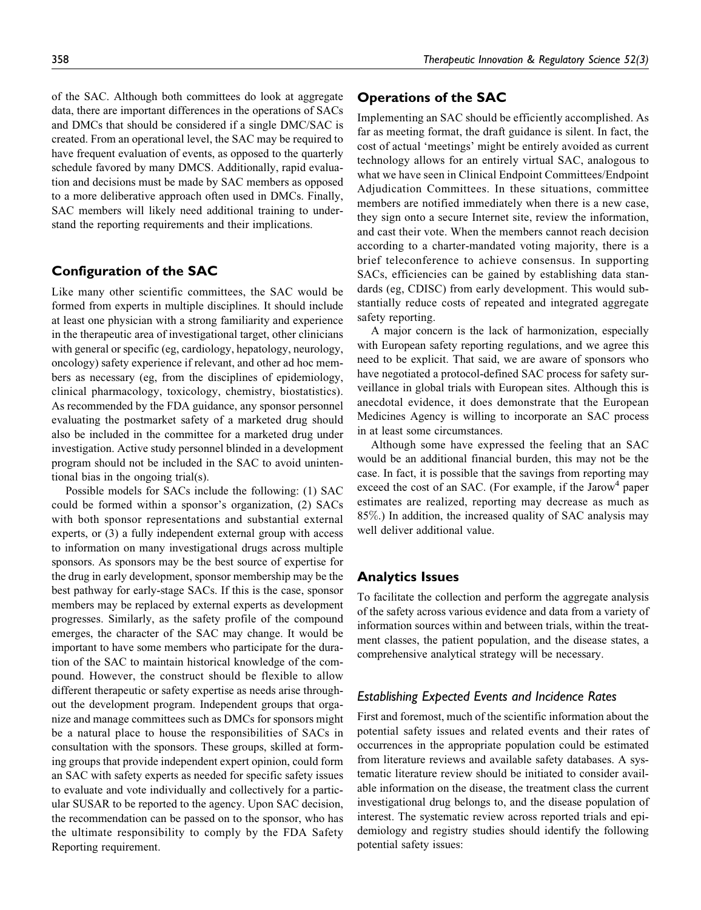of the SAC. Although both committees do look at aggregate data, there are important differences in the operations of SACs and DMCs that should be considered if a single DMC/SAC is created. From an operational level, the SAC may be required to have frequent evaluation of events, as opposed to the quarterly schedule favored by many DMCS. Additionally, rapid evaluation and decisions must be made by SAC members as opposed to a more deliberative approach often used in DMCs. Finally, SAC members will likely need additional training to understand the reporting requirements and their implications.

## Configuration of the SAC

Like many other scientific committees, the SAC would be formed from experts in multiple disciplines. It should include at least one physician with a strong familiarity and experience in the therapeutic area of investigational target, other clinicians with general or specific (eg, cardiology, hepatology, neurology, oncology) safety experience if relevant, and other ad hoc members as necessary (eg, from the disciplines of epidemiology, clinical pharmacology, toxicology, chemistry, biostatistics). As recommended by the FDA guidance, any sponsor personnel evaluating the postmarket safety of a marketed drug should also be included in the committee for a marketed drug under investigation. Active study personnel blinded in a development program should not be included in the SAC to avoid unintentional bias in the ongoing trial(s).

Possible models for SACs include the following: (1) SAC could be formed within a sponsor's organization, (2) SACs with both sponsor representations and substantial external experts, or (3) a fully independent external group with access to information on many investigational drugs across multiple sponsors. As sponsors may be the best source of expertise for the drug in early development, sponsor membership may be the best pathway for early-stage SACs. If this is the case, sponsor members may be replaced by external experts as development progresses. Similarly, as the safety profile of the compound emerges, the character of the SAC may change. It would be important to have some members who participate for the duration of the SAC to maintain historical knowledge of the compound. However, the construct should be flexible to allow different therapeutic or safety expertise as needs arise throughout the development program. Independent groups that organize and manage committees such as DMCs for sponsors might be a natural place to house the responsibilities of SACs in consultation with the sponsors. These groups, skilled at forming groups that provide independent expert opinion, could form an SAC with safety experts as needed for specific safety issues to evaluate and vote individually and collectively for a particular SUSAR to be reported to the agency. Upon SAC decision, the recommendation can be passed on to the sponsor, who has the ultimate responsibility to comply by the FDA Safety Reporting requirement.

## Operations of the SAC

Implementing an SAC should be efficiently accomplished. As far as meeting format, the draft guidance is silent. In fact, the cost of actual 'meetings' might be entirely avoided as current technology allows for an entirely virtual SAC, analogous to what we have seen in Clinical Endpoint Committees/Endpoint Adjudication Committees. In these situations, committee members are notified immediately when there is a new case, they sign onto a secure Internet site, review the information, and cast their vote. When the members cannot reach decision according to a charter-mandated voting majority, there is a brief teleconference to achieve consensus. In supporting SACs, efficiencies can be gained by establishing data standards (eg, CDISC) from early development. This would substantially reduce costs of repeated and integrated aggregate safety reporting.

A major concern is the lack of harmonization, especially with European safety reporting regulations, and we agree this need to be explicit. That said, we are aware of sponsors who have negotiated a protocol-defined SAC process for safety surveillance in global trials with European sites. Although this is anecdotal evidence, it does demonstrate that the European Medicines Agency is willing to incorporate an SAC process in at least some circumstances.

Although some have expressed the feeling that an SAC would be an additional financial burden, this may not be the case. In fact, it is possible that the savings from reporting may exceed the cost of an SAC. (For example, if the Jarow<sup>4</sup> paper estimates are realized, reporting may decrease as much as 85%.) In addition, the increased quality of SAC analysis may well deliver additional value.

### Analytics Issues

To facilitate the collection and perform the aggregate analysis of the safety across various evidence and data from a variety of information sources within and between trials, within the treatment classes, the patient population, and the disease states, a comprehensive analytical strategy will be necessary.

#### Establishing Expected Events and Incidence Rates

First and foremost, much of the scientific information about the potential safety issues and related events and their rates of occurrences in the appropriate population could be estimated from literature reviews and available safety databases. A systematic literature review should be initiated to consider available information on the disease, the treatment class the current investigational drug belongs to, and the disease population of interest. The systematic review across reported trials and epidemiology and registry studies should identify the following potential safety issues: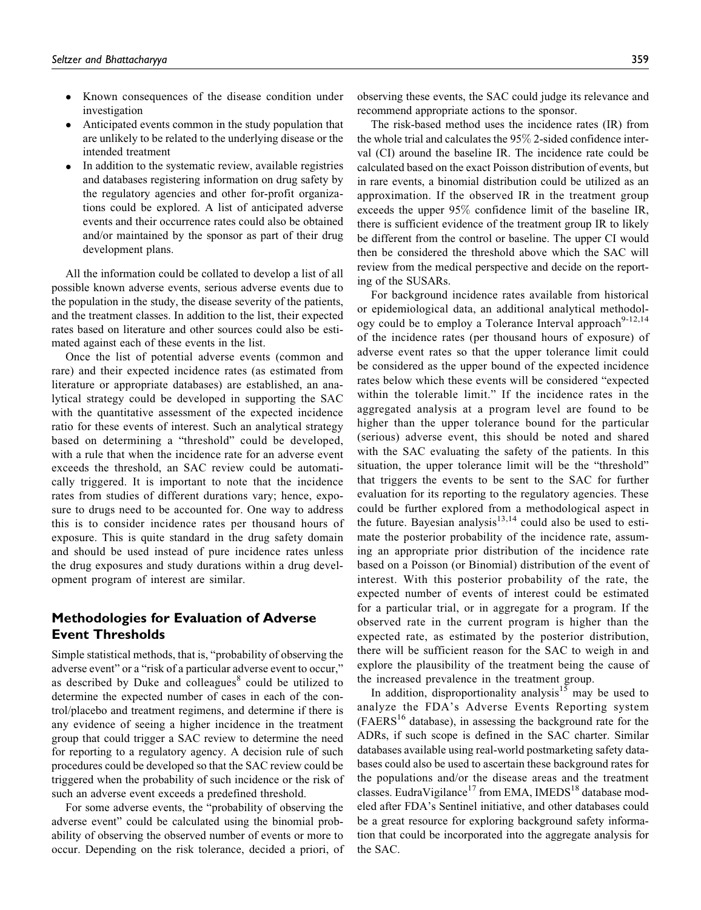- $\bullet$  Known consequences of the disease condition under investigation
- $\bullet$  Anticipated events common in the study population that are unlikely to be related to the underlying disease or the intended treatment
- $\bullet$  In addition to the systematic review, available registries and databases registering information on drug safety by the regulatory agencies and other for-profit organizations could be explored. A list of anticipated adverse events and their occurrence rates could also be obtained and/or maintained by the sponsor as part of their drug development plans.

All the information could be collated to develop a list of all possible known adverse events, serious adverse events due to the population in the study, the disease severity of the patients, and the treatment classes. In addition to the list, their expected rates based on literature and other sources could also be estimated against each of these events in the list.

Once the list of potential adverse events (common and rare) and their expected incidence rates (as estimated from literature or appropriate databases) are established, an analytical strategy could be developed in supporting the SAC with the quantitative assessment of the expected incidence ratio for these events of interest. Such an analytical strategy based on determining a "threshold" could be developed, with a rule that when the incidence rate for an adverse event exceeds the threshold, an SAC review could be automatically triggered. It is important to note that the incidence rates from studies of different durations vary; hence, exposure to drugs need to be accounted for. One way to address this is to consider incidence rates per thousand hours of exposure. This is quite standard in the drug safety domain and should be used instead of pure incidence rates unless the drug exposures and study durations within a drug development program of interest are similar.

## Methodologies for Evaluation of Adverse Event Thresholds

Simple statistical methods, that is, "probability of observing the adverse event" or a "risk of a particular adverse event to occur," as described by Duke and colleagues $8$  could be utilized to determine the expected number of cases in each of the control/placebo and treatment regimens, and determine if there is any evidence of seeing a higher incidence in the treatment group that could trigger a SAC review to determine the need for reporting to a regulatory agency. A decision rule of such procedures could be developed so that the SAC review could be triggered when the probability of such incidence or the risk of such an adverse event exceeds a predefined threshold.

For some adverse events, the "probability of observing the adverse event" could be calculated using the binomial probability of observing the observed number of events or more to occur. Depending on the risk tolerance, decided a priori, of observing these events, the SAC could judge its relevance and recommend appropriate actions to the sponsor.

The risk-based method uses the incidence rates (IR) from the whole trial and calculates the 95% 2-sided confidence interval (CI) around the baseline IR. The incidence rate could be calculated based on the exact Poisson distribution of events, but in rare events, a binomial distribution could be utilized as an approximation. If the observed IR in the treatment group exceeds the upper 95% confidence limit of the baseline IR, there is sufficient evidence of the treatment group IR to likely be different from the control or baseline. The upper CI would then be considered the threshold above which the SAC will review from the medical perspective and decide on the reporting of the SUSARs.

For background incidence rates available from historical or epidemiological data, an additional analytical methodology could be to employ a Tolerance Interval approach<sup>9-12,14</sup> of the incidence rates (per thousand hours of exposure) of adverse event rates so that the upper tolerance limit could be considered as the upper bound of the expected incidence rates below which these events will be considered "expected within the tolerable limit." If the incidence rates in the aggregated analysis at a program level are found to be higher than the upper tolerance bound for the particular (serious) adverse event, this should be noted and shared with the SAC evaluating the safety of the patients. In this situation, the upper tolerance limit will be the "threshold" that triggers the events to be sent to the SAC for further evaluation for its reporting to the regulatory agencies. These could be further explored from a methodological aspect in the future. Bayesian analysis $13,14$  could also be used to estimate the posterior probability of the incidence rate, assuming an appropriate prior distribution of the incidence rate based on a Poisson (or Binomial) distribution of the event of interest. With this posterior probability of the rate, the expected number of events of interest could be estimated for a particular trial, or in aggregate for a program. If the observed rate in the current program is higher than the expected rate, as estimated by the posterior distribution, there will be sufficient reason for the SAC to weigh in and explore the plausibility of the treatment being the cause of the increased prevalence in the treatment group.

In addition, disproportionality analysis<sup>15</sup> may be used to analyze the FDA's Adverse Events Reporting system  $(FAERS<sup>16</sup> database)$ , in assessing the background rate for the ADRs, if such scope is defined in the SAC charter. Similar databases available using real-world postmarketing safety databases could also be used to ascertain these background rates for the populations and/or the disease areas and the treatment classes. EudraVigilance<sup>17</sup> from EMA, IMEDS<sup>18</sup> database modeled after FDA's Sentinel initiative, and other databases could be a great resource for exploring background safety information that could be incorporated into the aggregate analysis for the SAC.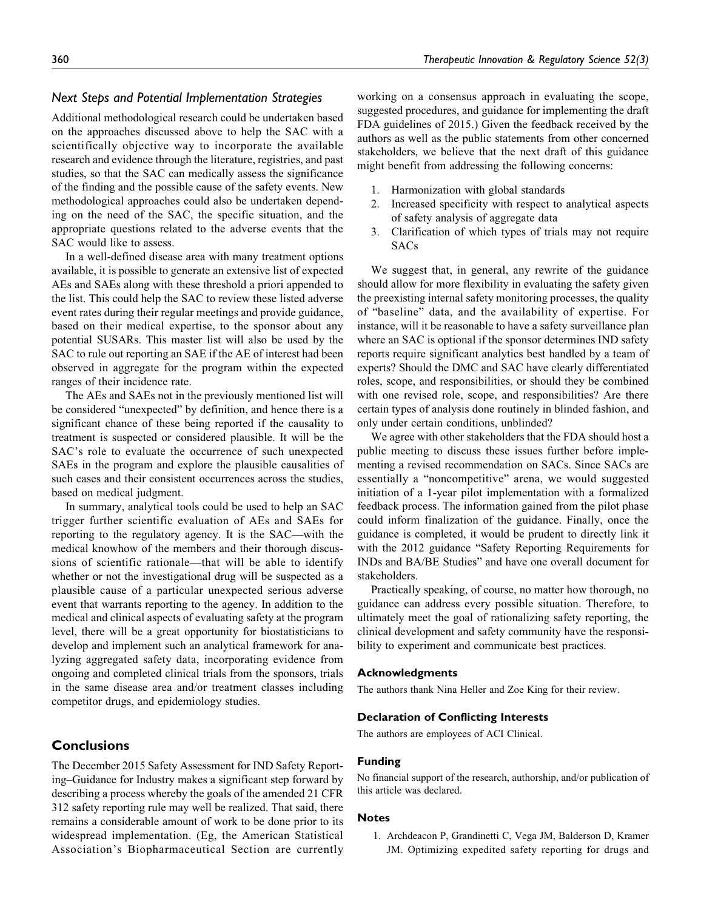#### Next Steps and Potential Implementation Strategies

Additional methodological research could be undertaken based on the approaches discussed above to help the SAC with a scientifically objective way to incorporate the available research and evidence through the literature, registries, and past studies, so that the SAC can medically assess the significance of the finding and the possible cause of the safety events. New methodological approaches could also be undertaken depending on the need of the SAC, the specific situation, and the appropriate questions related to the adverse events that the SAC would like to assess.

In a well-defined disease area with many treatment options available, it is possible to generate an extensive list of expected AEs and SAEs along with these threshold a priori appended to the list. This could help the SAC to review these listed adverse event rates during their regular meetings and provide guidance, based on their medical expertise, to the sponsor about any potential SUSARs. This master list will also be used by the SAC to rule out reporting an SAE if the AE of interest had been observed in aggregate for the program within the expected ranges of their incidence rate.

The AEs and SAEs not in the previously mentioned list will be considered "unexpected" by definition, and hence there is a significant chance of these being reported if the causality to treatment is suspected or considered plausible. It will be the SAC's role to evaluate the occurrence of such unexpected SAEs in the program and explore the plausible causalities of such cases and their consistent occurrences across the studies, based on medical judgment.

In summary, analytical tools could be used to help an SAC trigger further scientific evaluation of AEs and SAEs for reporting to the regulatory agency. It is the SAC—with the medical knowhow of the members and their thorough discussions of scientific rationale—that will be able to identify whether or not the investigational drug will be suspected as a plausible cause of a particular unexpected serious adverse event that warrants reporting to the agency. In addition to the medical and clinical aspects of evaluating safety at the program level, there will be a great opportunity for biostatisticians to develop and implement such an analytical framework for analyzing aggregated safety data, incorporating evidence from ongoing and completed clinical trials from the sponsors, trials in the same disease area and/or treatment classes including competitor drugs, and epidemiology studies.

## **Conclusions**

The December 2015 Safety Assessment for IND Safety Reporting–Guidance for Industry makes a significant step forward by describing a process whereby the goals of the amended 21 CFR 312 safety reporting rule may well be realized. That said, there remains a considerable amount of work to be done prior to its widespread implementation. (Eg, the American Statistical Association's Biopharmaceutical Section are currently working on a consensus approach in evaluating the scope, suggested procedures, and guidance for implementing the draft FDA guidelines of 2015.) Given the feedback received by the authors as well as the public statements from other concerned stakeholders, we believe that the next draft of this guidance might benefit from addressing the following concerns:

- 1. Harmonization with global standards
- 2. Increased specificity with respect to analytical aspects of safety analysis of aggregate data
- 3. Clarification of which types of trials may not require SACs

We suggest that, in general, any rewrite of the guidance should allow for more flexibility in evaluating the safety given the preexisting internal safety monitoring processes, the quality of "baseline" data, and the availability of expertise. For instance, will it be reasonable to have a safety surveillance plan where an SAC is optional if the sponsor determines IND safety reports require significant analytics best handled by a team of experts? Should the DMC and SAC have clearly differentiated roles, scope, and responsibilities, or should they be combined with one revised role, scope, and responsibilities? Are there certain types of analysis done routinely in blinded fashion, and only under certain conditions, unblinded?

We agree with other stakeholders that the FDA should host a public meeting to discuss these issues further before implementing a revised recommendation on SACs. Since SACs are essentially a "noncompetitive" arena, we would suggested initiation of a 1-year pilot implementation with a formalized feedback process. The information gained from the pilot phase could inform finalization of the guidance. Finally, once the guidance is completed, it would be prudent to directly link it with the 2012 guidance "Safety Reporting Requirements for INDs and BA/BE Studies" and have one overall document for stakeholders.

Practically speaking, of course, no matter how thorough, no guidance can address every possible situation. Therefore, to ultimately meet the goal of rationalizing safety reporting, the clinical development and safety community have the responsibility to experiment and communicate best practices.

#### Acknowledgments

The authors thank Nina Heller and Zoe King for their review.

#### Declaration of Conflicting Interests

The authors are employees of ACI Clinical.

#### Funding

No financial support of the research, authorship, and/or publication of this article was declared.

#### **Notes**

1. Archdeacon P, Grandinetti C, Vega JM, Balderson D, Kramer JM. Optimizing expedited safety reporting for drugs and